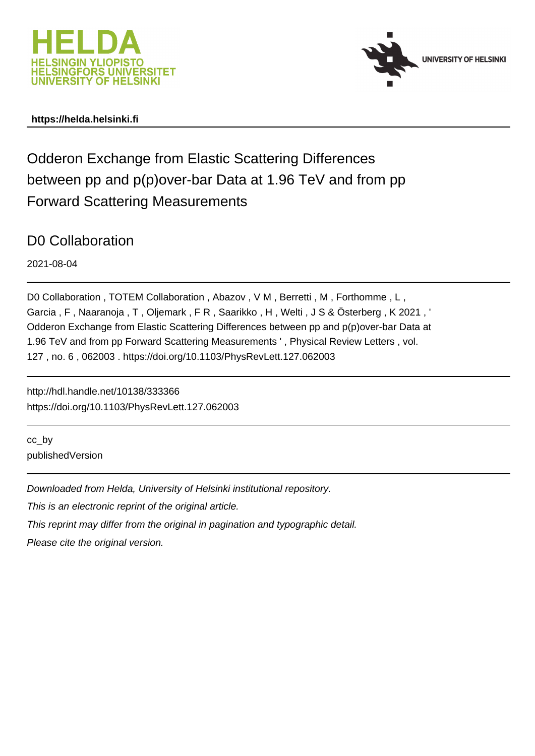



# **https://helda.helsinki.fi**

# Odderon Exchange from Elastic Scattering Differences between pp and p(p)over-bar Data at 1.96 TeV and from pp Forward Scattering Measurements

# D0 Collaboration

2021-08-04

D0 Collaboration, TOTEM Collaboration, Abazov, V M, Berretti, M, Forthomme, L, Garcia , F , Naaranoja , T , Oljemark , F R , Saarikko , H , Welti , J S & Österberg , K 2021 , ' Odderon Exchange from Elastic Scattering Differences between pp and p(p)over-bar Data at 1.96 TeV and from pp Forward Scattering Measurements ' , Physical Review Letters , vol. 127 , no. 6 , 062003 . https://doi.org/10.1103/PhysRevLett.127.062003

http://hdl.handle.net/10138/333366 https://doi.org/10.1103/PhysRevLett.127.062003

cc\_by publishedVersion

Downloaded from Helda, University of Helsinki institutional repository.

This is an electronic reprint of the original article.

This reprint may differ from the original in pagination and typographic detail.

Please cite the original version.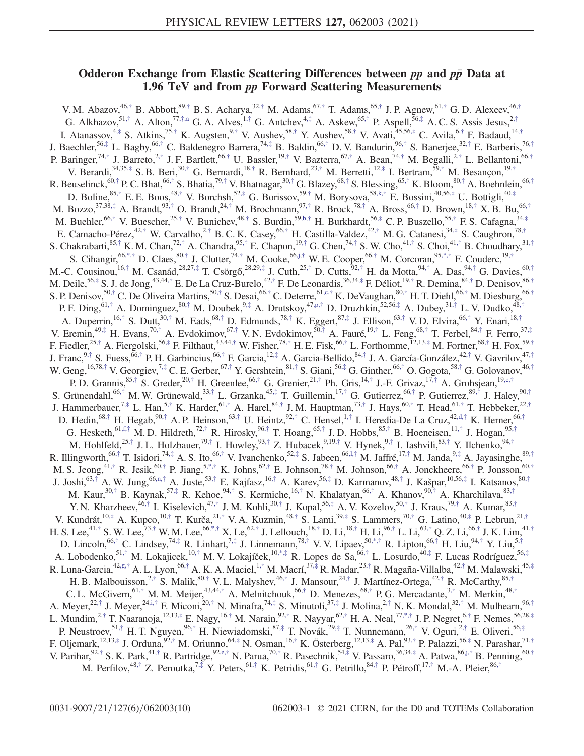## Odderon Exchange from Elastic Scattering Differences between  $pp$  and  $p\bar{p}$  Data at 1.96 TeV and from pp Forward Scattering Measurements

V. M. Abazov,  $46,^{\dagger}$  B. Abbott,  $89,^{\dagger}$  B. S. Acharya,  $32,^{\dagger}$  M. Adams,  $67,^{\dagger}$  T. Adams,  $65,^{\dagger}$  J. P. Agnew,  $^{61, \dagger}$  G. D. Alexeev,  $46,^{\dagger}$ G. Alkhazov,<sup>51,†</sup> A. Alton,<sup>77,†,a</sup> G. A. Alves,<sup>1,†</sup> G. Antchev,<sup>4,‡</sup> A. Askew,<sup>65,†</sup> P. Aspell,<sup>56,‡</sup> A. C. S. Assis Jesus,<sup>2,†</sup> I. Atanassov,  $^{4, \ddagger}$  S. Atkins,  $^{75, \dagger}$  K. Augsten,  $^{9, \dagger}$  V. Aushev,  $^{58, \dagger}$  Y. Aushev,  $^{58, \dagger}$  V. Avati,  $^{45,56, \ddagger}$  C. Avila,  $^{6, \dagger}$  F. Badaud,  $^{14, \dagger}$ J. Baechler,<sup>56,‡</sup> L. Bagby,<sup>66,†</sup> C. Baldenegro Barrera,<sup>74,‡</sup> B. Baldin,<sup>66,†</sup> D. V. Bandurin,<sup>96,†</sup> S. Banerjee,<sup>32,†</sup> E. Barberis,<sup>76,†</sup> P. Baringer,<sup>74,†</sup> J. Barreto,<sup>2,†</sup> J. F. Bartlett,<sup>66,†</sup> U. Bassler,<sup>19,†</sup> V. Bazterra,<sup>67,†</sup> A. Bean,<sup>74,†</sup> M. Begalli,<sup>2,†</sup> L. Bellantoni,<sup>66,†</sup> V. Berardi,<sup>34,35,‡</sup> S. B. Beri,<sup>30,†</sup> G. Bernardi,<sup>18,†</sup> R. Bernhard,<sup>23,†</sup> M. Berretti,<sup>12,‡</sup> I. Bertram,<sup>59,†</sup> M. Besançon,<sup>19,†</sup> R. Beuselinck, $^{60,\dagger}$  P. C. Bhat, $^{66,\dagger}$  S. Bhatia, $^{79,\dagger}$  V. Bhatnagar, $^{30,\dagger}$  G. Blazey, $^{68,\dagger}$  S. Blessing, $^{65,\dagger}$  K. Bloom, $^{80,\dagger}$  A. Boehnlein, $^{66,\dagger}$ D. Boline,  $85,^{\dagger}$  E. E. Boos,  $48,^{\dagger}$  V. Borchsh,  $52,^{\dagger}$  G. Borissov,  $59,^{\dagger}$  M. Borysova,  $58, k,^{\dagger}$  E. Bossini,  $40,56,^{\dagger}$  U. Bottigli,  $40,^{\dagger}$ M. Bozzo,<sup>37,38,‡</sup> A. Brandt,<sup>93,†</sup> O. Brandt,<sup>24,†</sup> M. Brochmann,<sup>97,†</sup> R. Brock,<sup>78,†</sup> A. Bross,<sup>66,†</sup> D. Brown,<sup>18,†</sup> X. B. Bu,<sup>66,†</sup> M. Buehler,  $66,^{\dagger}$  V. Buescher,  $25,^{\dagger}$  V. Bunichev,  $48,^{\dagger}$  S. Burdin,  $59,^{\dagger}$  H. Burkhardt,  $56,^{\dagger}$  C. P. Buszello,  $55,^{\dagger}$  F. S. Cafagna,  $34,^{\dagger}$ E. Camacho-Pérez,<sup>42,†</sup> W. Carvalho,<sup>2,†</sup> B. C. K. Casey,<sup>66,†</sup> H. Castilla-Valdez,<sup>42,†</sup> M. G. Catanesi,<sup>34,‡</sup> S. Caughron,<sup>78,†</sup> S. Chakrabarti,  $85,^{\dagger}$  K. M. Chan,  $72,^{\dagger}$  A. Chandra,  $95,^{\dagger}$  E. Chapon,  $^{19, \dagger}$  G. Chen,  $^{74, \dagger}$  S. W. Cho,  $^{41, \dagger}$  S. Choi,  $^{41, \dagger}$  B. Choudhary,  $^{31, \dagger}$ S. Cihangir,  $66,*,$ † D. Claes,  $80,$ † J. Clutter,  $74,$ † M. Cooke,  $66,$ j,† W. E. Cooper,  $66,$ † M. Corcoran,  $95,*,$ † F. Couderc,  $^{19,}$ † M.-C. Cousinou,  $^{16, \dagger}$  M. Csanád,  $^{28,27, \ddagger}$  T. Csörgő,  $^{28,29, \ddagger}$  J. Cuth,  $^{25, \dagger}$  D. Cutts,  $^{92, \dagger}$  H. da Motta,  $^{94, \dagger}$  A. Das,  $^{94, \dagger}$  G. Davies,  $^{60, \dagger}$ M. Deile, $^{56,\ddagger}$  S. J. de Jong, $^{43,44,\ddagger}$  E. De La Cruz-Burelo, $^{42,\ddagger}$  F. De Leonardis, $^{36,34,\ddagger}$  F. Déliot, $^{19,\ddagger}$  R. Demina, $^{84,\ddagger}$  D. Denisov, $^{86,\ddagger}$ S. P. Denisov,<sup>50,†</sup> C. De Oliveira Martins,<sup>50,†</sup> S. Desai,<sup>66,†</sup> C. Deterre,<sup>61,c,†</sup> K. DeVaughan,<sup>80,†</sup> H. T. Diehl,<sup>66,†</sup> M. Diesburg,<sup>66,†</sup> P. F. Ding,  $61,^{\dagger}$  A. Dominguez,  $80,^{\dagger}$  M. Doubek,  $9,^{\dagger}$  A. Drutskoy,  $47, p, \dagger$  D. Druzhkin,  $52,56, \dagger$  A. Dubey,  $31,^{\dagger}$  L. V. Dudko,  $48,^{\dagger}$ A. Duperrin,<sup>16,†</sup> S. Dutt,<sup>30,†</sup> M. Eads,<sup>68,†</sup> D. Edmunds,<sup>78,†</sup> K. Eggert,<sup>87,‡</sup> J. Ellison,<sup>63,†</sup> V. D. Elvira,<sup>66,†</sup> Y. Enari,<sup>18,†</sup> V. Eremin,  $49, \frac{1}{7}$  H. Evans,  $70, \frac{1}{7}$  A. Evdokimov,  $67, \frac{1}{7}$  V. N. Evdokimov,  $50, \frac{1}{7}$  A. Fauré,  $19, \frac{1}{7}$  L. Feng,  $68, \frac{1}{7}$  T. Ferbel,  $84, \frac{1}{7}$  F. Ferro,  $37, \frac{1}{7}$ F. Fiedler,<sup>25,†</sup> A. Fiergolski,<sup>56,‡</sup> F. Filthaut,<sup>43,44,†</sup> W. Fisher,<sup>78,†</sup> H. E. Fisk,<sup>66,†</sup> L. Forthomme,<sup>12,13,‡</sup> M. Fortner,<sup>68,†</sup> H. Fox,<sup>59,†</sup> J. Franc,  $9,^{\dagger}$  S. Fuess,  $^{66, \dagger}$  P. H. Garbincius,  $^{66, \dagger}$  F. Garcia,  $^{12, \dagger}$  A. Garcia-Bellido,  $^{84, \dagger}$  J. A. García-González,  $^{42, \dagger}$  V. Gavrilov,  $^{47, \dagger}$ W. Geng,  $^{16,78,\dagger}$  V. Georgiev,  $^{7,\ddagger}$  C. E. Gerber,  $^{67,\dagger}$  Y. Gershtein,  $^{81,\dagger}$  S. Giani,  $^{56,\ddagger}$  G. Ginther,  $^{66,\dagger}$  O. Gogota,  $^{58,\dagger}$  G. Golovanov,  $^{46,\dagger}$ P. D. Grannis,  $85, \dagger$  S. Greder,  $20, \dagger$  H. Greenlee,  $66, \dagger$  G. Grenier,  $21, \dagger$  Ph. Gris,  $^{14, \dagger}$  J.-F. Grivaz,  $^{17, \dagger}$  A. Grohsjean,  $^{19, c, \dagger}$ S. Grünendahl,  $66,^{\dagger}$  M. W. Grünewald,  $33,^{\dagger}$  L. Grzanka,  $45,^{\dagger}$  T. Guillemin,  $^{17, \dagger}$  G. Gutierrez,  $^{66, \dagger}$  P. Gutierrez,  $^{89, \dagger}$  J. Haley,  $^{90, \dagger}$ J. Hammerbauer,<sup>7,‡</sup> L. Han,<sup>5,†</sup> K. Harder,<sup>61,†</sup> A. Harel,<sup>84,†</sup> J. M. Hauptman,<sup>73,†</sup> J. Hays,<sup>60,†</sup> T. Head,<sup>61,†</sup> T. Hebbeker,<sup>22,†</sup> D. Hedin,  $68,^{\dagger}$  H. Hegab,  $90,^{\dagger}$  A. P. Heinson,  $63,^{\dagger}$  U. Heintz,  $92,^{\dagger}$  C. Hensel,  $^{1,\dagger}$  I. Heredia-De La Cruz,  $^{42, d,\dagger}$  K. Herner,  $^{66,\dagger}$ G. Hesketh,  $61, f, \dagger$  M. D. Hildreth,  $72, \dagger$  R. Hirosky,  $96, \dagger$  T. Hoang,  $65, \dagger$  J. D. Hobbs,  $85, \dagger$  B. Hoeneisen,  $11, \dagger$  J. Hogan,  $95, \dagger$ M. Hohlfeld,<sup>25,†</sup> J. L. Holzbauer,<sup>79,†</sup> I. Howley,<sup>93,†</sup> Z. Hubacek,<sup>9,19,†</sup> V. Hynek,<sup>9,†</sup> I. Iashvili,<sup>83,†</sup> Y. Ilchenko,<sup>94,†</sup> R. Illingworth,  $66,$ † T. Isidori,  $74,$ ‡ A. S. Ito,  $66,$ † V. Ivanchenko,  $52,$ ‡ S. Jabeen,  $66,$ l,† M. Jaffré,  $17,$ † M. Janda,  $9,$ ‡ A. Jayasinghe,  $89,$ † M. S. Jeong, $^{41,\dagger}$  R. Jesik, $^{60,\dagger}$  P. Jiang, $^{5,\dagger}$  K. Johns, $^{62,\dagger}$  E. Johnson, $^{78,\dagger}$  M. Johnson, $^{66,\dagger}$  A. Jonckheere, $^{66,\dagger}$  P. Jonsson, $^{60,\dagger}$ J. Joshi,<sup>63,†</sup> A. W. Jung,<sup>66,n,†</sup> A. Juste,<sup>53,†</sup> E. Kajfasz,<sup>16,†</sup> A. Karev,<sup>56,‡</sup> D. Karmanov,<sup>48,†</sup> J. Kašpar,<sup>10,56,‡</sup> I. Katsanos,<sup>80,†</sup> M. Kaur,<sup>30,†</sup> B. Kaynak,<sup>57,‡</sup> R. Kehoe,<sup>94,†</sup> S. Kermiche,<sup>16,†</sup> N. Khalatyan,<sup>66,†</sup> A. Khanov,<sup>90,†</sup> A. Kharchilava,<sup>83,†</sup> Y. N. Kharzheev,<sup>46,†</sup> I. Kiselevich,<sup>47,†</sup> J. M. Kohli,<sup>30,†</sup> J. Kopal,<sup>56,‡</sup> A. V. Kozelov,<sup>50,†</sup> J. Kraus,<sup>79,†</sup> A. Kumar,<sup>83,†</sup> V. Kundrát,  $^{10,\ddagger}$  A. Kupco,  $^{10,\dagger}$  T. Kurča,  $^{21,\dagger}$  V. A. Kuzmin,  $^{48,\dagger}$  S. Lami,  $^{39,\ddagger}$  S. Lammers,  $^{70,\dagger}$  G. Latino,  $^{40,\ddagger}$  P. Lebrun,  $^{21,\dagger}$ H. S. Lee, $^{41,\dagger}$  S. W. Lee, $^{73,\dagger}$  W. M. Lee, $^{66,\dagger,\dagger}$  X. Le, $^{62,\dagger}$  J. Lellouch, $^{18,\dagger}$  D. Li, $^{18,\dagger}$  H. Li, $^{96,\dagger}$  L. Li, $^{63,\dagger}$  Q. Z. Li, $^{66,\dagger}$  J. K. Lim, $^{41,\dagger}$ D. Lincoln,  $^{66, \dagger}$  C. Lindsey,  $^{74, \ddagger}$  R. Linhart,  $^{7, \ddagger}$  J. Linnemann,  $^{78, \dagger}$  V. V. Lipaev,  $^{50, \ast, \dagger}$  R. Lipton,  $^{66, \dagger}$  H. Liu,  $^{94, \dagger}$  Y. Liu,  $^{5, \dagger}$ A. Lobodenko,<sup>51,†</sup> M. Lokajicek,<sup>10,†</sup> M. V. Lokajíček,<sup>10,\*,‡</sup> R. Lopes de Sa,<sup>66,†</sup> L. Losurdo,<sup>40,‡</sup> F. Lucas Rodríguez,<sup>56,‡</sup> R. Luna-Garcia, $^{42,g,\dagger}$  A. L. Lyon, $^{66,\dagger}$  A. K. A. Maciel, $^{1,\dagger}$  M. Macrí, $^{37,\dagger}$  R. Madar, $^{23,\dagger}$  R. Magaña-Villalba, $^{42,\dagger}$  M. Malawski, $^{45,\dagger}$ H. B. Malbouisson,<sup>2,†</sup> S. Malik,<sup>80,†</sup> V. L. Malyshev,<sup>46,†</sup> J. Mansour,<sup>24,†</sup> J. Martínez-Ortega,<sup>42,†</sup> R. McCarthy,<sup>85,†</sup> C. L. McGivern,  $61, \dagger$  M. M. Meijer,  $43,44, \dagger$  A. Melnitchouk,  $66, \dagger$  D. Menezes,  $68, \dagger$  P. G. Mercadante,  $3, \dagger$  M. Merkin,  $48, \dagger$ A. Meyer,<sup>22,†</sup> J. Meyer,<sup>24,i,†</sup> F. Miconi,<sup>20,†</sup> N. Minafra,<sup>74,‡</sup> S. Minutoli,<sup>37,‡</sup> J. Molina,<sup>2,†</sup> N. K. Mondal,<sup>32,†</sup> M. Mulhearn,<sup>96,†</sup> L. Mundim,<sup>2,†</sup> T. Naaranoja,<sup>12,13,‡</sup> E. Nagy,<sup>16,†</sup> M. Narain,<sup>92,†</sup> R. Nayyar,<sup>62,†</sup> H. A. Neal,<sup>77,\*,†</sup> J. P. Negret,<sup>6,†</sup> F. Nemes,<sup>56,28,‡</sup> P. Neustroev,<sup>51,†</sup> H. T. Nguyen,<sup>96,†</sup> H. Niewiadomski,<sup>87,‡</sup> T. Novák,<sup>29,‡</sup> T. Nunnemann,<sup>26,†</sup> V. Oguri,<sup>2,†</sup> E. Oliveri,<sup>56,‡</sup> F. Oljemark,<sup>12,13,‡</sup> J. Orduna,<sup>92,†</sup> M. Oriunno,<sup>64,‡</sup> N. Osman,<sup>16,†</sup> K. Österberg,<sup>12,13,‡</sup> A. Pal,<sup>93,†</sup> P. Palazzi,<sup>56,‡</sup> N. Parashar,<sup>71,†</sup> V. Parihar,  $92,^{\dagger}$  S. K. Park,  $41,^{\dagger}$  R. Partridge,  $92, e, \dagger$  N. Parua,  $70, \dagger$  R. Pasechnik,  $54, \dagger$  V. Passaro,  $36,34, \dagger$  A. Patwa,  $86, j, \dagger$  B. Penning,  $60, \dagger$ M. Perfilov, $^{48,\dagger}$  Z. Peroutka, $^{7,\ddagger}$  Y. Peters, $^{61,\dagger}$  K. Petridis, $^{61,\dagger}$  G. Petrillo, $^{84,\dagger}$  P. Pétroff, $^{17,\dagger}$  M.-A. Pleier, $^{86,\dagger}$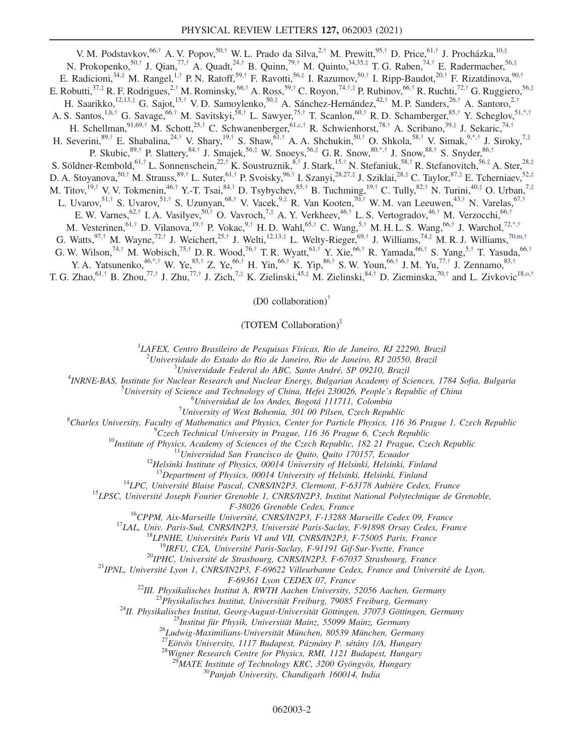V. M. Podstavkov, <sup>66,†</sup> A. V. Popov, <sup>50,†</sup> W. L. Prado da Silva, <sup>2,†</sup> M. Prewitt, <sup>95,†</sup> D. Price, <sup>61,†</sup> J. Procházka, <sup>10,‡</sup> N. Prokopenko,<sup>50,†</sup> J. Qian,<sup>77,†</sup> A. Quadt,<sup>24,†</sup> B. Quinn,<sup>79,†</sup> M. Quinto,<sup>34,35,‡</sup> T. G. Raben,<sup>74,†</sup> E. Radermacher,<sup>56,‡</sup> E. Radicioni,  $34, \frac{4}{7}$  M. Rangel,  $1, \frac{4}{7}$  P. N. Ratoff,  $59, \frac{4}{7}$  F. Ravotti,  $56, \frac{4}{7}$  I. Razumov,  $50, \frac{4}{7}$  I. Ripp-Baudot,  $20, \frac{4}{7}$  F. Rizatdinova,  $90, \frac{4}{7}$ E. Robutti,<sup>37,‡</sup> R. F. Rodrigues,<sup>2,†</sup> M. Rominsky,<sup>66,†</sup> A. Ross,<sup>59,†</sup> C. Royon,<sup>74,†,‡</sup> P. Rubinov,<sup>66,†</sup> R. Ruchti,<sup>72,†</sup> G. Ruggiero,<sup>56,‡</sup> H. Saarikko,<sup>12,13,‡</sup> G. Sajot,<sup>15,†</sup> V.D. Samoylenko,<sup>50,‡</sup> A. Sánchez-Hernández,<sup>42,†</sup> M.P. Sanders,<sup>26,†</sup> A. Santoro,<sup>2,†</sup> A. S. Santos,<sup>1,h,†</sup> G. Savage,<sup>66,†</sup> M. Savitskyi,<sup>58,†</sup> L. Sawyer,<sup>75,†</sup> T. Scanlon,<sup>60,†</sup> R. D. Schamberger,<sup>85,†</sup> Y. Scheglov,<sup>51,\*,†</sup> H. Schellman,  $91,69,$ † M. Schott, $25,$ † C. Schwanenberger, $61, c,$ † R. Schwienhorst, $78,$ † A. Scribano, $39,$ ‡ J. Sekaric, $74,$ † H. Severini, $89,^{\dagger}$  E. Shabalina, $24,^{\dagger}$  V. Shary, $19,^{\dagger}$  S. Shaw, $61,^{\dagger}$  A. A. Shchukin, $50,^{\dagger}$  O. Shkola, $58,^{\dagger}$  V. Simak, $9,^{\dagger}$ , $^{\dagger}$  J. Siroky, $7,^{\dagger}$ P. Skubic,  $89,^{\dagger}$  P. Slattery,  $84,^{\dagger}$  J. Smajek,  $56,^{\dagger}$  W. Snoeys,  $56,^{\dagger}$  G. R. Snow,  $80,^{\dagger}$ , J. Snow,  $88,^{\dagger}$  S. Snyder,  $86,^{\dagger}$ S. Söldner-Rembold,<sup>61,†</sup> L. Sonnenschein,<sup>22,†</sup> K. Soustruznik,<sup>8,†</sup> J. Stark,<sup>15,†</sup> N. Stefaniuk,<sup>58,†</sup> R. Stefanovitch,<sup>56,‡</sup> A. Ster,<sup>28,‡</sup> D. A. Stoyanova, $^{50,\dagger}$  M. Strauss, $^{89,\dagger}$  L. Suter, $^{61,\dagger}$  P. Svoisky, $^{96,\dagger}$  I. Szanyi, $^{28,27,\ddagger}$  J. Sziklai, $^{28,\ddagger}$  C. Taylor, $^{87,\ddagger}$  E. Tcherniaev, $^{52,\ddagger}$ M. Titov,<sup>19,†</sup> V. V. Tokmenin,<sup>46,†</sup> Y.-T. Tsai,<sup>84,†</sup> D. Tsybychev,<sup>85,†</sup> B. Tuchming,<sup>19,†</sup> C. Tully,<sup>82,†</sup> N. Turini,<sup>40,‡</sup> O. Urban,<sup>7,‡</sup> L. Uvarov,<sup>51,†</sup> S. Uvarov,<sup>51,†</sup> S. Uzunyan,<sup>68,†</sup> V. Vacek,<sup>9,‡</sup> R. Van Kooten,<sup>70,†</sup> W. M. van Leeuwen,<sup>43,†</sup> N. Varelas,<sup>67,†</sup> E. W. Varnes,  $62,^{\dagger}$  I. A. Vasilyev,  $50,^{\dagger}$  O. Vavroch,  $7,^{\dagger}$  A. Y. Verkheev,  $46,^{\dagger}$  L. S. Vertogradov,  $46,^{\dagger}$  M. Verzocchi,  $66,^{\dagger}$ M. Vesterinen,  $61,^{\dagger}$  D. Vilanova,  $19,^{\dagger}$  P. Vokac,  $9,^{\dagger}$  H. D. Wahl,  $65,^{\dagger}$  C. Wang,  $5,^{\dagger}$  M. H. L. S. Wang,  $66,^{\dagger}$  J. Warchol,  $72,^{\dagger}$ ,  $^{\dagger}$ G. Watts,  $97,^{\dagger}$  M. Wayne,  $72,^{\dagger}$  J. Weichert,  $25,^{\dagger}$  J. Welti,  $12,13,^{\dagger}$  L. Welty-Rieger,  $69,^{\dagger}$  J. Williams,  $74,^{\dagger}$  M. R. J. Williams,  $70,^{\dagger}$ ,  $\dagger$ G. W. Wilson,<sup>74,†</sup> M. Wobisch,<sup>75,†</sup> D. R. Wood,<sup>76,†</sup> T. R. Wyatt,<sup>61,†</sup> Y. Xie,<sup>66,†</sup> R. Yamada,<sup>66,†</sup> S. Yang,<sup>5,†</sup> T. Yasuda,<sup>66,†</sup> Y. A. Yatsunenko,<sup>46,\*,†</sup> W. Ye,<sup>85,†</sup> Z. Ye,<sup>66,†</sup> H. Yin,<sup>66,†</sup> K. Yip,<sup>86,†</sup> S. W. Youn,<sup>66,†</sup> J. M. Yu,<sup>77,†</sup> J. Zennamo,<sup>83,†</sup> T. G. Zhao,  $61, \dagger$  B. Zhou,  $77, \dagger$  J. Zhu,  $77, \dagger$  J. Zich,  $7, \dagger$  K. Zielinski,  $45, \dagger$  M. Zielinski,  $84, \dagger$  D. Zieminska,  $70, \dagger$  and L. Zivkovic $18, o, \dagger$ 

(D0 collaboration)†

### (TOTEM Collaboration)‡

<sup>1</sup>LAFEX, Centro Brasileiro de Pesquisas Físicas, Rio de Janeiro, RJ 22290, Brazil

<sup>2</sup>Universidade do Estado do Rio de Janeiro, Rio de Janeiro, RJ 20550, Brazil<br><sup>3</sup>Universidade Esdaval de ABC, Santa André, SB 00210, Brazil

 $3$ Universidade Federal do ABC, Santo André, SP 09210, Brazil

<sup>4</sup>INRNE-BAS, Institute for Nuclear Research and Nuclear Energy, Bulgarian Academy of Sciences, 1784 Sofia, Bulgaria

University of Science and Technology of China, Hefei 230026, People's Republic of China <sup>6</sup>

 $^{6}$ Universidad de los Andes, Bogotá 111711, Colombia

 $17$ University of West Bohemia, 301 00 Pilsen, Czech Republic

<sup>8</sup>Charles University, Faculty of Mathematics and Physics, Center for Particle Physics, 116 36 Prague 1, Czech Republic  ${}^{9}C$ zech Technical University in Prague, 116 36 Prague 6, Czech Republic

<sup>10</sup>Institute of Physics, Academy of Sciences of the Czech Republic, 182 21 Prague, Czech Republic<br><sup>11</sup>Universidad San Francisco de Quito, Quito 170157, Ecuador<br><sup>12</sup>Helsinki Institute of Physics, 00014 University of Helsi

<sup>14</sup>LPC, Université Blaise Pascal, CNRS/IN2P3, Clermont, F-63178 Aubière Cedex, France<br><sup>15</sup>LPSC, Université Joseph Fourier Grenoble 1, CNRS/IN2P3, Institut National Polytechnique de Grenoble,

*F*-38026 Grenoble Cedex, France<br><sup>16</sup>CPPM, Aix-Marseille Université, CNRS/IN2P3, F-13288 Marseille Cedex 09, France<br><sup>17</sup>LAL, Univ. Paris-Sud, CNRS/IN2P3, Université Paris-Saclay, F-91898 Orsay Cedex, France<br><sup>18</sup>LPNHE, Uni

*F*-69361 Lyon CEDEX 07, France<br><sup>22</sup>III. Physikalisches Institut A, RWTH Aachen University, 52056 Aachen, Germany<br><sup>23</sup> Physikalisches Institut, Universität Freiburg, 79085 Freiburg, Germany<br><sup>24</sup>II. Physikalisches Institut

<sup>28</sup>Wigner Research Centre for Physics, RMI, 1121 Budapest, Hungary

<sup>29</sup>MATE Institute of Technology KRC, 3200 Gyöngyös, Hungary  $^{30}$ Panjab University, Chandigarh 160014, India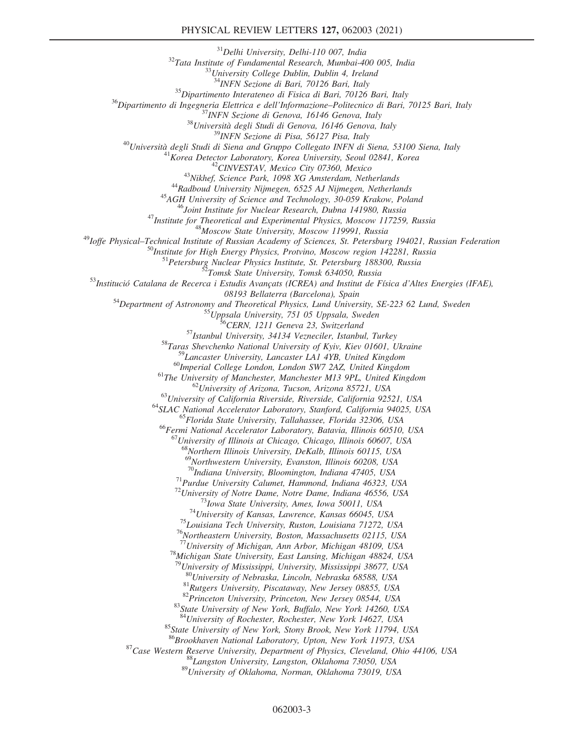#### PHYSICAL REVIEW LETTERS 127, 062003 (2021)

<sup>31</sup>Delhi University, Delhi-110 007, India<br><sup>32</sup>Tata Institute of Fundamental Research, Mumbai-400 005, India<br><sup>33</sup>University College Dublin, Dublin 4, Ireland<br><sup>34</sup>INFN Sezione di Bari, 70126 Bari, Italy <sup>35</sup>Dipartimento Interateneo di Fisica di Bari, 70126 Bari, Italy<br><sup>36</sup>Dipartimento di Ingegneria Elettrica e dell'Informazione–Politecnico di Bari, 70125 Bari, Italy<br><sup>37</sup>INFN Sezione di Genova, 16146 Genova, Italy<br><sup>38</sup>Uni <sup>42</sup>CINVESTAV, Mexico City 07360, Mexico<br><sup>43</sup>Nikhef, Science Park, 1098 XG Amsterdam, Netherlands<br><sup>44</sup>Radboud University Nijmegen, 6525 AJ Nijmegen, Netherlands<br><sup>45</sup>AGH University of Science and Technology, 30-059 Krakow, <sup>51</sup> Petersburg Nuclear Physics Institute, St. Petersburg 188300, Russia<br><sup>52</sup> Tomsk State University, Tomsk 634050, Russia<br><sup>53</sup> Institució Catalana de Recerca i Estudis Avançats (ICREA) and Institut de Física d'Altes Ener <sup>54</sup>Department of Astronomy and Theoretical Physics, Lund University, SE-223 62 Lund, Sweden<br><sup>55</sup>Uppsala University, 751 05 Uppsala, Sweden<br><sup>56</sup>CERN, 1211 Geneva 23, Switzerland<br><sup>57</sup>Istanbul University, 34134 Vezneciler, <sup>60</sup>Imperial College London, London SW7 2AZ, United Kingdom<br>
<sup>61</sup>The University of Manchester, Manchester M13 9PL, United Kingdom<br>
<sup>62</sup>University of Arizona, Tucson, Arizona 85721, USA<br>
<sup>63</sup>University of California Rivers  $^{67}$ University of Illinois at Chicago, Chicago, Illinois 60607, USA <sup>68</sup>Northern Illinois University, DeKalb, Illinois 60115, USA <sup>69</sup>Northwestern University, Evanston, Illinois 60208, USA  $^{70}$ Indiana University, Bloomington, Indiana 47405, USA <sup>71</sup>Purdue University Calumet, Hammond, Indiana 46323, USA<br><sup>72</sup>University of Notre Dame, Notre Dame, Indiana 46556, USA<br><sup>73</sup>Iowa State University, Ames, Iowa 50011, USA<br><sup>74</sup>University of Kansas, Lawrence, Kansas 66045, US <sup>78</sup>Michigan State University, East Lansing, Michigan 48824, USA <sup>79</sup>University of Mississippi, University, Mississippi 38677, USA <sup>80</sup>University of Nebraska, Lincoln, Nebraska 68588, USA<br><sup>81</sup>Rutgers University, Piscataway, New Jersey 08855, USA<br><sup>82</sup>Princeton University, Princeton, New Jersey 08544, USA<br><sup>83</sup>State University of New York, Buffalo, New Y <sup>85</sup>State University of New York, Stony Brook, New York 11794, USA <sup>86</sup>Brookhaven National Laboratory, Upton, New York 11973, USA <sup>87</sup>Case Western Reserve University, Department of Physics, Cleveland, Ohio 44106, USA<br><sup>88</sup>Langston University, Langston, Oklahoma 73050, USA<br><sup>89</sup>University of Oklahoma, Norman, Oklahoma 73019, USA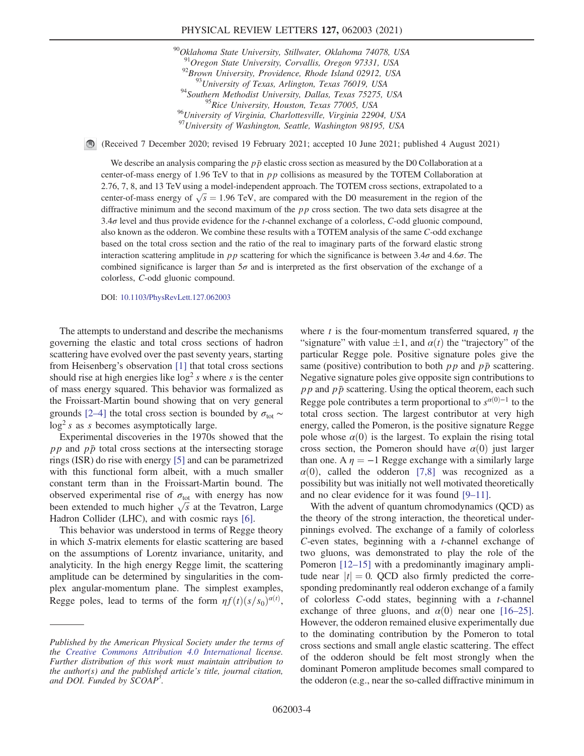#### PHYSICAL REVIEW LETTERS 127, 062003 (2021)

<sup>90</sup>Oklahoma State University, Stillwater, Oklahoma 74078, USA <sup>91</sup>Oregon State University, Corvallis, Oregon 97331, USA<br><sup>92</sup>Brown University, Providence, Rhode Island 02912, USA<br><sup>93</sup>University of Texas, Arlington, Texas 76019, USA<br><sup>94</sup>Southern Methodist University, Dallas, Texas 752 <sup>95</sup>Rice University, Houston, Texas 77005, USA <sup>96</sup>University of Virginia, Charlottesville, Virginia 22904, USA <sup>97</sup>University of Washington, Seattle, Washington 98195, USA

(Received 7 December 2020; revised 19 February 2021; accepted 10 June 2021; published 4 August 2021)

We describe an analysis comparing the  $p\bar{p}$  elastic cross section as measured by the D0 Collaboration at a center-of-mass energy of 1.96 TeV to that in  $pp$  collisions as measured by the TOTEM Collaboration at 2.76, 7, 8, and 13 TeV using a model-independent approach. The TOTEM cross sections, extrapolated to a center-of-mass energy of  $\sqrt{s} = 1.96$  TeV, are compared with the D0 measurement in the region of the diffractive minimum and the second maximum of the  $pp$  cross section. The two data sets disagree at the  $3.4\sigma$  level and thus provide evidence for the *t*-channel exchange of a colorless, C-odd gluonic compound, also known as the odderon. We combine these results with a TOTEM analysis of the same C-odd exchange based on the total cross section and the ratio of the real to imaginary parts of the forward elastic strong interaction scattering amplitude in  $pp$  scattering for which the significance is between 3.4 $\sigma$  and 4.6 $\sigma$ . The combined significance is larger than  $5\sigma$  and is interpreted as the first observation of the exchange of a colorless, C-odd gluonic compound.

DOI: [10.1103/PhysRevLett.127.062003](https://doi.org/10.1103/PhysRevLett.127.062003)

The attempts to understand and describe the mechanisms governing the elastic and total cross sections of hadron scattering have evolved over the past seventy years, starting from Heisenberg's observation [1] that total cross sections should rise at high energies like  $log<sup>2</sup> s$  where s is the center of mass energy squared. This behavior was formalized as the Froissart-Martin bound showing that on very general grounds [2–4] the total cross section is bounded by  $\sigma_{\text{tot}} \sim$  $log<sup>2</sup> s$  as s becomes asymptotically large.

Experimental discoveries in the 1970s showed that the  $pp$  and  $p\bar{p}$  total cross sections at the intersecting storage rings (ISR) do rise with energy [5] and can be parametrized with this functional form albeit, with a much smaller constant term than in the Froissart-Martin bound. The observed experimental rise of  $\sigma_{\text{tot}}$  with energy has now been extended to much higher  $\sqrt{s}$  at the Tevatron, Large Hadron Collider (LHC), and with cosmic rays [6].

This behavior was understood in terms of Regge theory in which S-matrix elements for elastic scattering are based on the assumptions of Lorentz invariance, unitarity, and analyticity. In the high energy Regge limit, the scattering amplitude can be determined by singularities in the complex angular-momentum plane. The simplest examples, Regge poles, lead to terms of the form  $\eta f(t)(s/s_0)^{\alpha(t)}$ ,

where t is the four-momentum transferred squared,  $\eta$  the "signature" with value  $\pm 1$ , and  $\alpha(t)$  the "trajectory" of the particular Regge pole. Positive signature poles give the same (positive) contribution to both  $p p$  and  $p \bar{p}$  scattering. Negative signature poles give opposite sign contributions to  $pp$  and  $p\bar{p}$  scattering. Using the optical theorem, each such Regge pole contributes a term proportional to  $s^{\alpha(0)-1}$  to the total cross section. The largest contributor at very high energy, called the Pomeron, is the positive signature Regge pole whose  $\alpha(0)$  is the largest. To explain the rising total cross section, the Pomeron should have  $\alpha(0)$  just larger than one. A  $\eta = -1$  Regge exchange with a similarly large  $\alpha(0)$ , called the odderon [7,8] was recognized as a possibility but was initially not well motivated theoretically and no clear evidence for it was found [9–11].

With the advent of quantum chromodynamics (QCD) as the theory of the strong interaction, the theoretical underpinnings evolved. The exchange of a family of colorless C-even states, beginning with a t-channel exchange of two gluons, was demonstrated to play the role of the Pomeron [12–15] with a predominantly imaginary amplitude near  $|t| = 0$ . QCD also firmly predicted the corresponding predominantly real odderon exchange of a family of colorless C-odd states, beginning with a t-channel exchange of three gluons, and  $\alpha(0)$  near one [16–25]. However, the odderon remained elusive experimentally due to the dominating contribution by the Pomeron to total cross sections and small angle elastic scattering. The effect of the odderon should be felt most strongly when the dominant Pomeron amplitude becomes small compared to the odderon (e.g., near the so-called diffractive minimum in

Published by the American Physical Society under the terms of the [Creative Commons Attribution 4.0 International](https://creativecommons.org/licenses/by/4.0/) license. Further distribution of this work must maintain attribution to the author(s) and the published article's title, journal citation, and DOI. Funded by SCOAP<sup>3</sup>.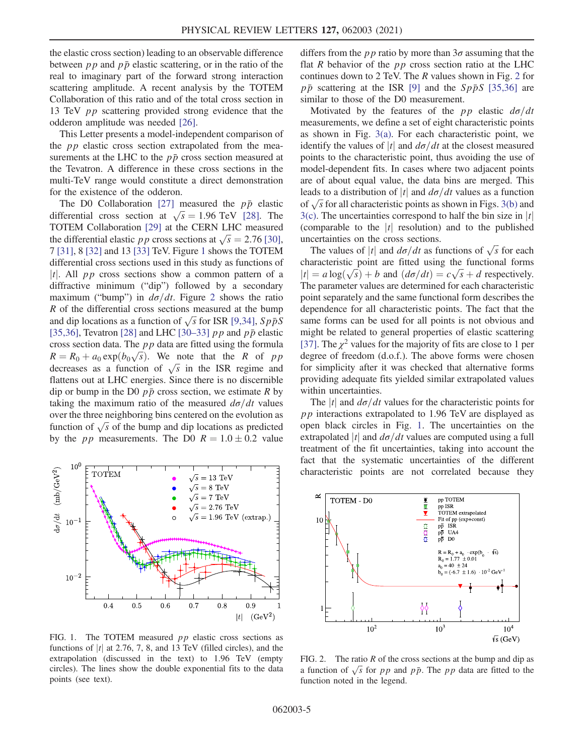the elastic cross section) leading to an observable difference between  $pp$  and  $p\bar{p}$  elastic scattering, or in the ratio of the real to imaginary part of the forward strong interaction scattering amplitude. A recent analysis by the TOTEM Collaboration of this ratio and of the total cross section in 13 TeV pp scattering provided strong evidence that the odderon amplitude was needed [26].

This Letter presents a model-independent comparison of the  $pp$  elastic cross section extrapolated from the measurements at the LHC to the  $p\bar{p}$  cross section measured at the Tevatron. A difference in these cross sections in the multi-TeV range would constitute a direct demonstration for the existence of the odderon.

The D0 Collaboration [27] measured the  $p\bar{p}$  elastic differential cross section at  $\sqrt{s} = 1.96$  TeV [28]. The TOTEM Collaboration [29] at the CERN LHC measured the differential elastic pp cross sections at  $\sqrt{s} = 2.76$  [30], 7 [31], 8 [32] and 13 [33] TeV. Figure 1 shows the TOTEM differential cross sections used in this study as functions of |t|. All  $pp$  cross sections show a common pattern of a diffractive minimum ("dip") followed by a secondary maximum ("bump") in  $d\sigma/dt$ . Figure 2 shows the ratio R of the differential cross sections measured at the bump and dip locations as a function of  $\sqrt{s}$  for ISR [9,34],  $Sp\overline{p}S$ [35,36], Tevatron [28] and LHC [30–33]  $p p$  and  $p \bar{p}$  elastic cross section data. The  $pp$  data are fitted using the formula  $R = R_0 + a_0 \exp(b_0 \sqrt{s})$ . We note that the R of pp decreases as a function of  $\sqrt{s}$  in the ISR regime and flattens out at LHC energies. Since there is no discernible dip or bump in the D0  $p\bar{p}$  cross section, we estimate R by taking the maximum ratio of the measured  $d\sigma/dt$  values over the three neighboring bins centered on the evolution as function of  $\sqrt{s}$  of the bump and dip locations as predicted by the *pp* measurements. The D0  $R = 1.0 \pm 0.2$  value



FIG. 1. The TOTEM measured *pp* elastic cross sections as functions of  $|t|$  at 2.76, 7, 8, and 13 TeV (filled circles), and the extrapolation (discussed in the text) to 1.96 TeV (empty circles). The lines show the double exponential fits to the data points (see text).

differs from the *pp* ratio by more than  $3\sigma$  assuming that the flat R behavior of the  $pp$  cross section ratio at the LHC continues down to 2 TeV. The R values shown in Fig. 2 for  $p\bar{p}$  scattering at the ISR [9] and the  $Sp\bar{p}S$  [35,36] are similar to those of the D0 measurement.

Motivated by the features of the pp elastic  $d\sigma/dt$ measurements, we define a set of eight characteristic points as shown in Fig.  $3(a)$ . For each characteristic point, we identify the values of |t| and  $d\sigma/dt$  at the closest measured points to the characteristic point, thus avoiding the use of model-dependent fits. In cases where two adjacent points are of about equal value, the data bins are merged. This leads to a distribution of |t| and  $d\sigma/dt$  values as a function of  $\sqrt{s}$  for all characteristic points as shown in Figs. 3(b) and  $3(c)$ . The uncertainties correspond to half the bin size in |t| (comparable to the  $|t|$  resolution) and to the published uncertainties on the cross sections.

The values of |t| and  $d\sigma/dt$  as functions of  $\sqrt{s}$  for each characteristic point are fitted using the functional forms  $|t| = a \log(\sqrt{s}) + b$  and  $(d\sigma/dt) = c\sqrt{s} + d$  respectively. The parameter values are determined for each characteristic point separately and the same functional form describes the dependence for all characteristic points. The fact that the same forms can be used for all points is not obvious and might be related to general properties of elastic scattering [37]. The  $\chi^2$  values for the majority of fits are close to 1 per degree of freedom (d.o.f.). The above forms were chosen for simplicity after it was checked that alternative forms providing adequate fits yielded similar extrapolated values within uncertainties.

The |t| and  $d\sigma/dt$  values for the characteristic points for pp interactions extrapolated to 1.96 TeV are displayed as open black circles in Fig. 1. The uncertainties on the extrapolated |t| and  $d\sigma/dt$  values are computed using a full treatment of the fit uncertainties, taking into account the fact that the systematic uncertainties of the different characteristic points are not correlated because they



FIG. 2. The ratio  $R$  of the cross sections at the bump and dip as a function of  $\sqrt{s}$  for pp and pp. The pp data are fitted to the function noted in the legend.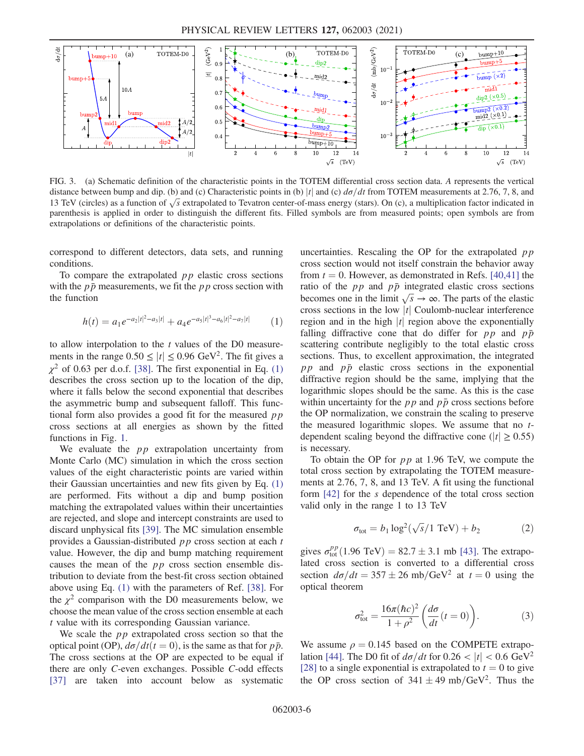

FIG. 3. (a) Schematic definition of the characteristic points in the TOTEM differential cross section data. A represents the vertical distance between bump and dip. (b) and (c) Characteristic points in (b) |t| and (c)  $d\sigma/dt$  from TOTEM measurements at 2.76, 7, 8, and 13 TeV (circles) as a function of  $\sqrt{s}$  extrapolated to Tevatron center-of-mass energy (stars). On (c), a multiplication factor indicated in parenthesis is applied in order to distinguish the different fits. Filled symbols are from measured points; open symbols are from extrapolations or definitions of the characteristic points.

correspond to different detectors, data sets, and running conditions.

To compare the extrapolated  $pp$  elastic cross sections with the  $p\bar{p}$  measurements, we fit the pp cross section with the function

$$
h(t) = a_1 e^{-a_2|t|^2 - a_3|t|} + a_4 e^{-a_5|t|^3 - a_6|t|^2 - a_7|t|}
$$
 (1)

to allow interpolation to the  $t$  values of the D0 measurements in the range  $0.50 \le |t| \le 0.96$  GeV<sup>2</sup>. The fit gives a  $\chi^2$  of 0.63 per d.o.f. [38]. The first exponential in Eq. (1) describes the cross section up to the location of the dip, where it falls below the second exponential that describes the asymmetric bump and subsequent falloff. This functional form also provides a good fit for the measured  $pp$ cross sections at all energies as shown by the fitted functions in Fig. 1.

We evaluate the  $pp$  extrapolation uncertainty from Monte Carlo (MC) simulation in which the cross section values of the eight characteristic points are varied within their Gaussian uncertainties and new fits given by Eq. (1) are performed. Fits without a dip and bump position matching the extrapolated values within their uncertainties are rejected, and slope and intercept constraints are used to discard unphysical fits [39]. The MC simulation ensemble provides a Gaussian-distributed pp cross section at each t value. However, the dip and bump matching requirement causes the mean of the pp cross section ensemble distribution to deviate from the best-fit cross section obtained above using Eq. (1) with the parameters of Ref. [38]. For the  $\chi^2$  comparison with the D0 measurements below, we choose the mean value of the cross section ensemble at each t value with its corresponding Gaussian variance.

We scale the  $pp$  extrapolated cross section so that the optical point (OP),  $d\sigma/dt(t=0)$ , is the same as that for  $p\bar{p}$ . The cross sections at the OP are expected to be equal if there are only C-even exchanges. Possible C-odd effects [37] are taken into account below as systematic uncertainties. Rescaling the OP for the extrapolated  $pp$ cross section would not itself constrain the behavior away from  $t = 0$ . However, as demonstrated in Refs. [40,41] the ratio of the  $pp$  and  $p\bar{p}$  integrated elastic cross sections becomes one in the limit  $\sqrt{s} \rightarrow \infty$ . The parts of the elastic cross sections in the low  $|t|$  Coulomb-nuclear interference region and in the high  $|t|$  region above the exponentially falling diffractive cone that do differ for  $pp$  and  $p\bar{p}$ scattering contribute negligibly to the total elastic cross sections. Thus, to excellent approximation, the integrated  $pp$  and  $p\bar{p}$  elastic cross sections in the exponential diffractive region should be the same, implying that the logarithmic slopes should be the same. As this is the case within uncertainty for the  $pp$  and  $p\bar{p}$  cross sections before the OP normalization, we constrain the scaling to preserve the measured logarithmic slopes. We assume that no tdependent scaling beyond the diffractive cone ( $|t| \ge 0.55$ ) is necessary.

To obtain the OP for  $pp$  at 1.96 TeV, we compute the total cross section by extrapolating the TOTEM measurements at 2.76, 7, 8, and 13 TeV. A fit using the functional form [42] for the s dependence of the total cross section valid only in the range 1 to 13 TeV

$$
\sigma_{\text{tot}} = b_1 \log^2(\sqrt{s}/1 \text{ TeV}) + b_2 \tag{2}
$$

gives  $\sigma_{\text{tot}}^{pp}(1.96 \text{ TeV}) = 82.7 \pm 3.1 \text{ mb}$  [43]. The extrapolated cross section is converted to a differential cross section  $d\sigma/dt = 357 \pm 26$  mb/GeV<sup>2</sup> at  $t = 0$  using the optical theorem

$$
\sigma_{\text{tot}}^2 = \frac{16\pi(\hbar c)^2}{1+\rho^2} \left(\frac{d\sigma}{dt}(t=0)\right). \tag{3}
$$

We assume  $\rho = 0.145$  based on the COMPETE extrapolation [44]. The D0 fit of  $d\sigma/dt$  for  $0.26 < |t| < 0.6$  GeV<sup>2</sup> [28] to a single exponential is extrapolated to  $t = 0$  to give the OP cross section of  $341 \pm 49 \text{ mb}/\text{GeV}^2$ . Thus the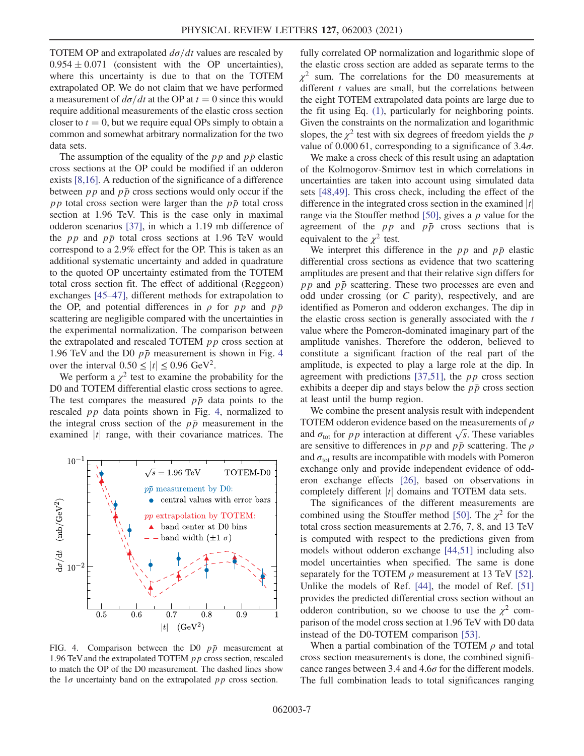TOTEM OP and extrapolated  $d\sigma/dt$  values are rescaled by  $0.954 \pm 0.071$  (consistent with the OP uncertainties), where this uncertainty is due to that on the TOTEM extrapolated OP. We do not claim that we have performed a measurement of  $d\sigma/dt$  at the OP at  $t = 0$  since this would require additional measurements of the elastic cross section closer to  $t = 0$ , but we require equal OPs simply to obtain a common and somewhat arbitrary normalization for the two data sets.

The assumption of the equality of the  $pp$  and  $p\bar{p}$  elastic cross sections at the OP could be modified if an odderon exists [8,16]. A reduction of the significance of a difference between  $pp$  and  $p\bar{p}$  cross sections would only occur if the pp total cross section were larger than the  $p\bar{p}$  total cross section at 1.96 TeV. This is the case only in maximal odderon scenarios [37], in which a 1.19 mb difference of the *pp* and  $p\bar{p}$  total cross sections at 1.96 TeV would correspond to a 2.9% effect for the OP. This is taken as an additional systematic uncertainty and added in quadrature to the quoted OP uncertainty estimated from the TOTEM total cross section fit. The effect of additional (Reggeon) exchanges [45–47], different methods for extrapolation to the OP, and potential differences in  $\rho$  for pp and  $p\bar{p}$ scattering are negligible compared with the uncertainties in the experimental normalization. The comparison between the extrapolated and rescaled TOTEM  $pp$  cross section at 1.96 TeV and the D0  $p\bar{p}$  measurement is shown in Fig. 4 over the interval  $0.50 \le |t| \le 0.96$  GeV<sup>2</sup>.

We perform a  $\chi^2$  test to examine the probability for the D0 and TOTEM differential elastic cross sections to agree. The test compares the measured  $p\bar{p}$  data points to the rescaled pp data points shown in Fig. 4, normalized to the integral cross section of the  $p\bar{p}$  measurement in the examined  $|t|$  range, with their covariance matrices. The



FIG. 4. Comparison between the D0  $p\bar{p}$  measurement at 1.96 TeV and the extrapolated TOTEM  $pp$  cross section, rescaled to match the OP of the D0 measurement. The dashed lines show the  $1\sigma$  uncertainty band on the extrapolated pp cross section.

fully correlated OP normalization and logarithmic slope of the elastic cross section are added as separate terms to the  $\chi^2$  sum. The correlations for the D0 measurements at different  $t$  values are small, but the correlations between the eight TOTEM extrapolated data points are large due to the fit using Eq. (1), particularly for neighboring points. Given the constraints on the normalization and logarithmic slopes, the  $\chi^2$  test with six degrees of freedom yields the p value of 0.000 61, corresponding to a significance of  $3.4\sigma$ .

We make a cross check of this result using an adaptation of the Kolmogorov-Smirnov test in which correlations in uncertainties are taken into account using simulated data sets [48,49]. This cross check, including the effect of the difference in the integrated cross section in the examined  $|t|$ range via the Stouffer method  $[50]$ , gives a p value for the agreement of the  $pp$  and  $p\bar{p}$  cross sections that is equivalent to the  $\chi^2$  test.

We interpret this difference in the  $pp$  and  $p\bar{p}$  elastic differential cross sections as evidence that two scattering amplitudes are present and that their relative sign differs for  $pp$  and  $p\bar{p}$  scattering. These two processes are even and odd under crossing (or C parity), respectively, and are identified as Pomeron and odderon exchanges. The dip in the elastic cross section is generally associated with the  $t$ value where the Pomeron-dominated imaginary part of the amplitude vanishes. Therefore the odderon, believed to constitute a significant fraction of the real part of the amplitude, is expected to play a large role at the dip. In agreement with predictions [37,51], the  $pp$  cross section exhibits a deeper dip and stays below the  $p\bar{p}$  cross section at least until the bump region.

We combine the present analysis result with independent TOTEM odderon evidence based on the measurements of  $\rho$ and  $\sigma_{\text{tot}}$  for p *p* interaction at different  $\sqrt{s}$ . These variables are sensitive to differences in  $pp$  and  $p\bar{p}$  scattering. The  $\rho$ and  $\sigma_{\text{tot}}$  results are incompatible with models with Pomeron exchange only and provide independent evidence of odderon exchange effects [26], based on observations in completely different  $|t|$  domains and TOTEM data sets.

The significances of the different measurements are combined using the Stouffer method [50]. The  $\chi^2$  for the total cross section measurements at 2.76, 7, 8, and 13 TeV is computed with respect to the predictions given from models without odderon exchange [44,51] including also model uncertainties when specified. The same is done separately for the TOTEM  $\rho$  measurement at 13 TeV [52]. Unlike the models of Ref. [44], the model of Ref. [51] provides the predicted differential cross section without an odderon contribution, so we choose to use the  $\chi^2$  comparison of the model cross section at 1.96 TeV with D0 data instead of the D0-TOTEM comparison [53].

When a partial combination of the TOTEM  $\rho$  and total cross section measurements is done, the combined significance ranges between 3.4 and  $4.6\sigma$  for the different models. The full combination leads to total significances ranging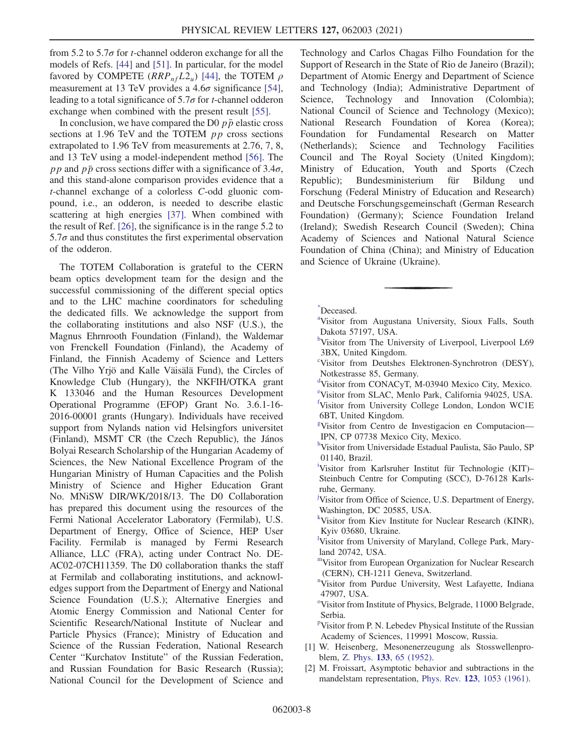from 5.2 to 5.7 $\sigma$  for *t*-channel odderon exchange for all the models of Refs. [44] and [51]. In particular, for the model favored by COMPETE  $(RRP_{nf}L2_u)$  [44], the TOTEM  $\rho$ measurement at 13 TeV provides a  $4.6\sigma$  significance [54], leading to a total significance of  $5.7\sigma$  for *t*-channel odderon exchange when combined with the present result [55].

In conclusion, we have compared the D0  $p\bar{p}$  elastic cross sections at 1.96 TeV and the TOTEM *pp* cross sections extrapolated to 1.96 TeV from measurements at 2.76, 7, 8, and 13 TeV using a model-independent method [56]. The pp and pp cross sections differ with a significance of 3.4 $\sigma$ , and this stand-alone comparison provides evidence that a t-channel exchange of a colorless C-odd gluonic compound, i.e., an odderon, is needed to describe elastic scattering at high energies [37]. When combined with the result of Ref. [26], the significance is in the range 5.2 to  $5.7\sigma$  and thus constitutes the first experimental observation of the odderon.

The TOTEM Collaboration is grateful to the CERN beam optics development team for the design and the successful commissioning of the different special optics and to the LHC machine coordinators for scheduling the dedicated fills. We acknowledge the support from the collaborating institutions and also NSF (U.S.), the Magnus Ehrnrooth Foundation (Finland), the Waldemar von Frenckell Foundation (Finland), the Academy of Finland, the Finnish Academy of Science and Letters (The Vilho Yrjö and Kalle Väisälä Fund), the Circles of Knowledge Club (Hungary), the NKFIH/OTKA grant K 133046 and the Human Resources Development Operational Programme (EFOP) Grant No. 3.6.1-16- 2016-00001 grants (Hungary). Individuals have received support from Nylands nation vid Helsingfors universitet (Finland), MSMT CR (the Czech Republic), the János Bolyai Research Scholarship of the Hungarian Academy of Sciences, the New National Excellence Program of the Hungarian Ministry of Human Capacities and the Polish Ministry of Science and Higher Education Grant No. MNiSW DIR/WK/2018/13. The D0 Collaboration has prepared this document using the resources of the Fermi National Accelerator Laboratory (Fermilab), U.S. Department of Energy, Office of Science, HEP User Facility. Fermilab is managed by Fermi Research Alliance, LLC (FRA), acting under Contract No. DE-AC02-07CH11359. The D0 collaboration thanks the staff at Fermilab and collaborating institutions, and acknowledges support from the Department of Energy and National Science Foundation (U.S.); Alternative Energies and Atomic Energy Commission and National Center for Scientific Research/National Institute of Nuclear and Particle Physics (France); Ministry of Education and Science of the Russian Federation, National Research Center "Kurchatov Institute" of the Russian Federation, and Russian Foundation for Basic Research (Russia); National Council for the Development of Science and

Technology and Carlos Chagas Filho Foundation for the Support of Research in the State of Rio de Janeiro (Brazil); Department of Atomic Energy and Department of Science and Technology (India); Administrative Department of Science, Technology and Innovation (Colombia); National Council of Science and Technology (Mexico); National Research Foundation of Korea (Korea); Foundation for Fundamental Research on Matter (Netherlands); Science and Technology Facilities Council and The Royal Society (United Kingdom); Ministry of Education, Youth and Sports (Czech Republic); Bundesministerium für Bildung und Forschung (Federal Ministry of Education and Research) and Deutsche Forschungsgemeinschaft (German Research Foundation) (Germany); Science Foundation Ireland (Ireland); Swedish Research Council (Sweden); China Academy of Sciences and National Natural Science Foundation of China (China); and Ministry of Education and Science of Ukraine (Ukraine).

\* Deceased.

- <sup>b</sup>Visitor from The University of Liverpool, Liverpool L69 3BX, United Kingdom.
- c Visitor from Deutshes Elektronen-Synchrotron (DESY), Notkestrasse 85, Germany.
- d Visitor from CONACyT, M-03940 Mexico City, Mexico.
- e Visitor from SLAC, Menlo Park, California 94025, USA. f Visitor from University College London, London WC1E

6BT, United Kingdom.

- g Visitor from Centro de Investigacion en Computacion— IPN, CP 07738 Mexico City, Mexico.
- h Visitor from Universidade Estadual Paulista, São Paulo, SP 01140, Brazil.
- i Visitor from Karlsruher Institut für Technologie (KIT)– Steinbuch Centre for Computing (SCC), D-76128 Karlsruhe, Germany.
- Visitor from Office of Science, U.S. Department of Energy, Washington, DC 20585, USA.
- k Visitor from Kiev Institute for Nuclear Research (KINR), Kyiv 03680, Ukraine.
- l Visitor from University of Maryland, College Park, Maryland 20742, USA.
- mVisitor from European Organization for Nuclear Research (CERN), CH-1211 Geneva, Switzerland.
- <sup>n</sup>Visitor from Purdue University, West Lafayette, Indiana 47907, USA.
- <sup>o</sup>Visitor from Institute of Physics, Belgrade, 11000 Belgrade, Serbia.

<sup>p</sup>Visitor from P. N. Lebedev Physical Institute of the Russian Academy of Sciences, 119991 Moscow, Russia.

- [1] W. Heisenberg, Mesonenerzeugung als Stosswellenproblem, Z. Phys. 133[, 65 \(1952\).](https://doi.org/10.1007/BF01948683)
- [2] M. Froissart, Asymptotic behavior and subtractions in the mandelstam representation, Phys. Rev. 123[, 1053 \(1961\)](https://doi.org/10.1103/PhysRev.123.1053).

a Visitor from Augustana University, Sioux Falls, South Dakota 57197, USA.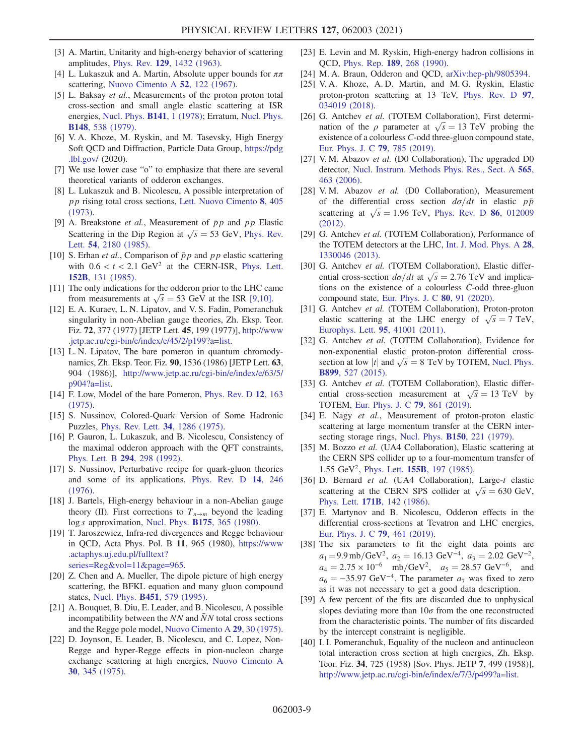- [3] A. Martin, Unitarity and high-energy behavior of scattering amplitudes, Phys. Rev. 129[, 1432 \(1963\).](https://doi.org/10.1103/PhysRev.129.1432)
- [4] L. Lukaszuk and A. Martin, Absolute upper bounds for  $\pi\pi$ scattering, [Nuovo Cimento A](https://doi.org/10.1007/BF02739279) 52, 122 (1967).
- [5] L. Baksay et al., Measurements of the proton proton total cross-section and small angle elastic scattering at ISR energies, [Nucl. Phys.](https://doi.org/10.1016/0550-3213(78)90331-0) B141, 1 (1978); Erratum, [Nucl. Phys.](https://doi.org/10.1016/0550-3213(79)90149-4) B148[, 538 \(1979\).](https://doi.org/10.1016/0550-3213(79)90149-4)
- [6] V. A. Khoze, M. Ryskin, and M. Tasevsky, High Energy Soft QCD and Diffraction, Particle Data Group, [https://pdg](https://pdg.lbl.gov/) [.lbl.gov/](https://pdg.lbl.gov/) (2020).
- [7] We use lower case "o" to emphasize that there are several theoretical variants of odderon exchanges.
- [8] L. Lukaszuk and B. Nicolescu, A possible interpretation of pp rising total cross sections, [Lett. Nuovo Cimento](https://doi.org/10.1007/BF02824484) 8, 405 [\(1973\).](https://doi.org/10.1007/BF02824484)
- [9] A. Breakstone *et al.*, Measurement of  $\bar{p}p$  and pp Elastic Scattering in the Dip Region at  $\sqrt{s} = 53$  GeV, [Phys. Rev.](https://doi.org/10.1103/PhysRevLett.54.2180) Lett. 54[, 2180 \(1985\)](https://doi.org/10.1103/PhysRevLett.54.2180).
- [10] S. Erhan et al., Comparison of  $\bar{p}p$  and  $pp$  elastic scattering with  $0.6 < t < 2.1$  GeV<sup>2</sup> at the CERN-ISR, [Phys. Lett.](https://doi.org/10.1016/0370-2693(85)91154-2) 152B[, 131 \(1985\).](https://doi.org/10.1016/0370-2693(85)91154-2)
- [11] The only indications for the odderon prior to the LHC came from measurements at  $\sqrt{s} = 53$  GeV at the ISR [9,10].
- [12] E. A. Kuraev, L. N. Lipatov, and V. S. Fadin, Pomeranchuk singularity in non-Abelian gauge theories, Zh. Eksp. Teor. Fiz. 72, 377 (1977) [JETP Lett. 45, 199 (1977)], [http://www](http://www.jetp.ac.ru/cgi-bin/e/index/e/45/2/p199?a=list) [.jetp.ac.ru/cgi-bin/e/index/e/45/2/p199?a=list](http://www.jetp.ac.ru/cgi-bin/e/index/e/45/2/p199?a=list).
- [13] L. N. Lipatov, The bare pomeron in quantum chromodynamics, Zh. Eksp. Teor. Fiz. 90, 1536 (1986) [JETP Lett. 63, 904 (1986)], [http://www.jetp.ac.ru/cgi-bin/e/index/e/63/5/](http://www.jetp.ac.ru/cgi-bin/e/index/e/63/5/p904?a=list) [p904?a=list.](http://www.jetp.ac.ru/cgi-bin/e/index/e/63/5/p904?a=list)
- [14] F. Low, Model of the bare Pomeron, [Phys. Rev. D](https://doi.org/10.1103/PhysRevD.12.163) 12, 163 [\(1975\).](https://doi.org/10.1103/PhysRevD.12.163)
- [15] S. Nussinov, Colored-Quark Version of Some Hadronic Puzzles, [Phys. Rev. Lett.](https://doi.org/10.1103/PhysRevLett.34.1286) 34, 1286 (1975).
- [16] P. Gauron, L. Lukaszuk, and B. Nicolescu, Consistency of the maximal odderon approach with the QFT constraints, [Phys. Lett. B](https://doi.org/10.1016/0370-2693(92)90698-4) 294, 298 (1992).
- [17] S. Nussinov, Perturbative recipe for quark-gluon theories and some of its applications, [Phys. Rev. D](https://doi.org/10.1103/PhysRevD.14.246) 14, 246 [\(1976\).](https://doi.org/10.1103/PhysRevD.14.246)
- [18] J. Bartels, High-energy behaviour in a non-Abelian gauge theory (II). First corrections to  $T_{n\to m}$  beyond the leading log s approximation, Nucl. Phys. B175[, 365 \(1980\).](https://doi.org/10.1016/0550-3213(80)90019-X)
- [19] T. Jaroszewicz, Infra-red divergences and Regge behaviour in QCD, Acta Phys. Pol. B 11, 965 (1980), [https://www](https://www.actaphys.uj.edu.pl/fulltext?series=Reg&vol=11&page=965) [.actaphys.uj.edu.pl/fulltext?](https://www.actaphys.uj.edu.pl/fulltext?series=Reg&vol=11&page=965) [series=Reg&vol=11&page=965.](https://www.actaphys.uj.edu.pl/fulltext?series=Reg&vol=11&page=965)
- [20] Z. Chen and A. Mueller, The dipole picture of high energy scattering, the BFKL equation and many gluon compound states, Nucl. Phys. B451[, 579 \(1995\)](https://doi.org/10.1016/0550-3213(95)00350-2).
- [21] A. Bouquet, B. Diu, E. Leader, and B. Nicolescu, A possible incompatibility between the  $NN$  and  $\overline{N}N$  total cross sections and the Regge pole model, [Nuovo Cimento A](https://doi.org/10.1007/BF02735410) 29, 30 (1975).
- [22] D. Joynson, E. Leader, B. Nicolescu, and C. Lopez, Non-Regge and hyper-Regge effects in pion-nucleon charge exchange scattering at high energies, [Nuovo Cimento A](https://doi.org/10.1007/BF02730293) 30[, 345 \(1975\).](https://doi.org/10.1007/BF02730293)
- [23] E. Levin and M. Ryskin, High-energy hadron collisions in QCD, Phys. Rep. 189[, 268 \(1990\)](https://doi.org/10.1016/0370-1573(90)90016-U).
- [24] M. A. Braun, Odderon and QCD, [arXiv:hep-ph/9805394.](https://arXiv.org/abs/hep-ph/9805394)
- [25] V. A. Khoze, A. D. Martin, and M. G. Ryskin, Elastic proton-proton scattering at 13 TeV, [Phys. Rev. D](https://doi.org/10.1103/PhysRevD.97.034019) 97, [034019 \(2018\).](https://doi.org/10.1103/PhysRevD.97.034019)
- [26] G. Antchev et al. (TOTEM Collaboration), First determination of the  $\rho$  parameter at  $\sqrt{s} = 13$  TeV probing the existence of a colourless C-odd three-gluon compound state, [Eur. Phys. J. C](https://doi.org/10.1140/epjc/s10052-019-7223-4) 79, 785 (2019).
- [27] V. M. Abazov *et al.* (D0 Collaboration), The upgraded D0 detector, [Nucl. Instrum. Methods Phys. Res., Sect. A](https://doi.org/10.1016/j.nima.2006.05.248) 565, [463 \(2006\)](https://doi.org/10.1016/j.nima.2006.05.248).
- [28] V.M. Abazov et al. (D0 Collaboration), Measurement of the differential cross section  $d\sigma/dt$  in elastic  $p\bar{p}$ scattering at  $\sqrt{s} = 1.96$  TeV, [Phys. Rev. D](https://doi.org/10.1103/PhysRevD.86.012009) 86, 012009 [\(2012\).](https://doi.org/10.1103/PhysRevD.86.012009)
- [29] G. Antchev et al. (TOTEM Collaboration), Performance of the TOTEM detectors at the LHC, [Int. J. Mod. Phys. A](https://doi.org/10.1142/S0217751X13300469) 28, [1330046 \(2013\).](https://doi.org/10.1142/S0217751X13300469)
- [30] G. Antchev et al. (TOTEM Collaboration), Elastic differential cross-section  $d\sigma/dt$  at  $\sqrt{s} = 2.76$  TeV and implications on the existence of a colourless C-odd three-gluon compound state, [Eur. Phys. J. C](https://doi.org/10.1140/epjc/s10052-020-7654-y) 80, 91 (2020).
- [31] G. Antchev et al. (TOTEM Collaboration), Proton-proton elastic scattering at the LHC energy of  $\sqrt{s} = 7$  TeV, [Europhys. Lett.](https://doi.org/10.1209/0295-5075/95/41001) 95, 41001 (2011).
- [32] G. Antchev et al. (TOTEM Collaboration), Evidence for non-exponential elastic proton-proton differential crosssection at low |t| and  $\sqrt{s} = 8$  TeV by TOTEM, [Nucl. Phys.](https://doi.org/10.1016/j.nuclphysb.2015.08.010) B899[, 527 \(2015\).](https://doi.org/10.1016/j.nuclphysb.2015.08.010)
- [33] G. Antchev et al. (TOTEM Collaboration), Elastic differential cross-section measurement at  $\sqrt{s} = 13 \text{ TeV}$  by TOTEM, [Eur. Phys. J. C](https://doi.org/10.1140/epjc/s10052-019-7346-7) 79, 861 (2019).
- [34] E. Nagy et al., Measurement of proton-proton elastic scattering at large momentum transfer at the CERN intersecting storage rings, Nucl. Phys. **B150**[, 221 \(1979\).](https://doi.org/10.1016/0550-3213(79)90301-8)
- [35] M. Bozzo et al. (UA4 Collaboration), Elastic scattering at the CERN SPS collider up to a four-momentum transfer of 1.55 GeV<sup>2</sup>, Phys. Lett. **155B**[, 197 \(1985\).](https://doi.org/10.1016/0370-2693(85)90985-2)
- [36] D. Bernard et al. (UA4 Collaboration), Large-t elastic scattering at the CERN SPS collider at  $\sqrt{s} = 630$  GeV, Phys. Lett. 171B[, 142 \(1986\).](https://doi.org/10.1016/0370-2693(86)91014-2)
- [37] E. Martynov and B. Nicolescu, Odderon effects in the differential cross-sections at Tevatron and LHC energies, [Eur. Phys. J. C](https://doi.org/10.1140/epjc/s10052-019-6954-6) 79, 461 (2019).
- [38] The six parameters to fit the eight data points are  $a_1 = 9.9 \text{ mb/GeV}^2$ ,  $a_2 = 16.13 \text{ GeV}^{-4}$ ,  $a_3 = 2.02 \text{ GeV}^{-2}$ ,  $a_4 = 2.75 \times 10^{-6}$  mb/GeV<sup>2</sup>,  $a_5 = 28.57$  GeV<sup>-6</sup>, and  $a_6 = -35.97$  GeV<sup>-4</sup>. The parameter  $a_7$  was fixed to zero as it was not necessary to get a good data description.
- [39] A few percent of the fits are discarded due to unphysical slopes deviating more than  $10\sigma$  from the one reconstructed from the characteristic points. The number of fits discarded by the intercept constraint is negligible.
- [40] I. I. Pomeranchuk, Equality of the nucleon and antinucleon total interaction cross section at high energies, Zh. Eksp. Teor. Fiz. 34, 725 (1958) [Sov. Phys. JETP 7, 499 (1958)], [http://www.jetp.ac.ru/cgi-bin/e/index/e/7/3/p499?a=list.](http://www.jetp.ac.ru/cgi-bin/e/index/e/7/3/p499?a=list)